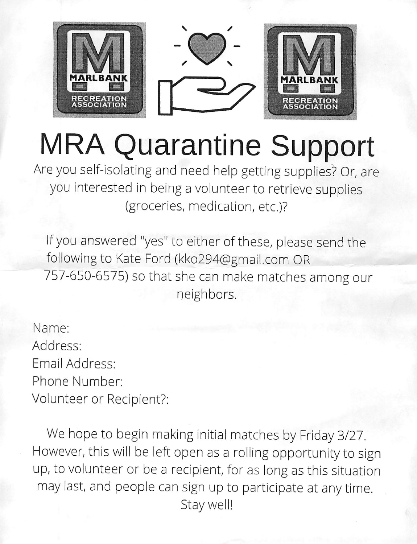

# **MRA Quarantine Support**

Are you self-isolating and need help getting supplies? Or, are you interested in being a volunteer to retrieve supplies (groceries, medication, etc.)?

If you answered "yes" to either of these, please send the following to Kate Ford (kko294@gmail.com OR 757-650-6575) so that she can make matches among our neighbors.

Name: Address: Email Address: Phone Number: Volunteer or Recipient?:

We hope to begin making initial matches by Friday 3/27. However, this will be left open as a rolling opportunity to sign up, to volunteer or be a recipient, for as long as this situation may last, and people can sign up to participate at any time. Stay well!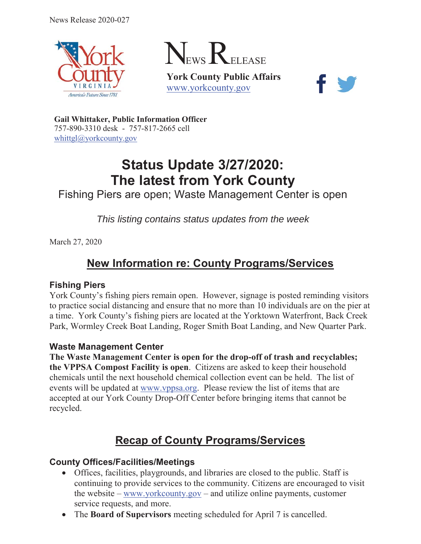





**Gail Whittaker, Public Information Officer** 757-890-3310 desk - 757-817-2665 cell [whittgl@yorkcounty.gov](mailto:whittgl@yorkcounty.gov)

# **Status Update 3/27/2020: The latest from York County**

Fishing Piers are open; Waste Management Center is open

*This listing contains status updates from the week* 

March 27, 2020

# **New Information re: County Programs/Services**

#### **Fishing Piers**

York County's fishing piers remain open. However, signage is posted reminding visitors to practice social distancing and ensure that no more than 10 individuals are on the pier at a time. York County's fishing piers are located at the Yorktown Waterfront, Back Creek Park, Wormley Creek Boat Landing, Roger Smith Boat Landing, and New Quarter Park.

#### **Waste Management Center**

**The Waste Management Center is open for the drop-off of trash and recyclables; the VPPSA Compost Facility is open**. Citizens are asked to keep their household chemicals until the next household chemical collection event can be held. The list of events will be updated at [www.vppsa.org.](www.vppsa.org) Please review the list of items that are accepted at our York County Drop-Off Center before bringing items that cannot be recycled.

# **Recap of County Programs/Services**

#### **County Offices/Facilities/Meetings**

- Offices, facilities, playgrounds, and libraries are closed to the public. Staff is continuing to provide services to the community. Citizens are encouraged to visit the website – <www.yorkcounty.gov> – and utilize online payments, customer service requests, and more.
- The **Board of Supervisors** meeting scheduled for April 7 is cancelled.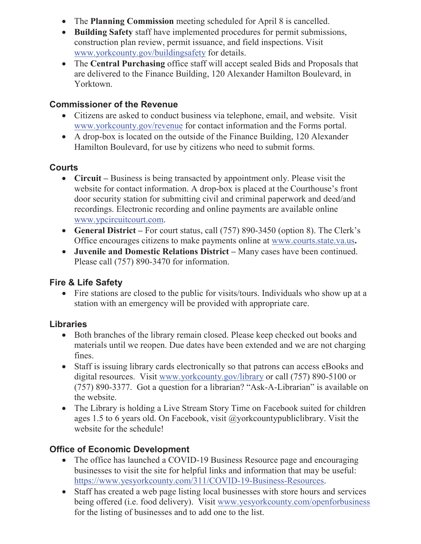- The **Planning Commission** meeting scheduled for April 8 is cancelled.
- construction plan review, permit issuance, and field inspections. Visit x **Building Safety** staff have implemented procedures for permit submissions, <www.yorkcounty.gov/buildingsafety>for details.
- Yorktown. • The **Central Purchasing** office staff will accept sealed Bids and Proposals that are delivered to the Finance Building, 120 Alexander Hamilton Boulevard, in

#### **Commissioner of the Revenue**

- <www.yorkcounty.gov/revenue> for contact information and the Forms portal. • Citizens are asked to conduct business via telephone, email, and website. Visit
- A drop-box is located on the outside of the Finance Building, 120 Alexander Hamilton Boulevard, for use by citizens who need to submit forms.

#### **Courts**

- Circuit Business is being transacted by appointment only. Please visit the website for contact information. A drop-box is placed at the Courthouse's front door security station for submitting civil and criminal paperwork and deed/and recordings. Electronic recording and online payments are available online [www.ypcircuitcourt.com.](www.ypcircuitcourt.com)
- General District For court status, call (757) 890-3450 (option 8). The Clerk's Office encourages citizens to make payments online at<www.courts.state.va.us>**.**
- x **Juvenile and Domestic Relations District** Many cases have been continued. Please call (757) 890-3470 for information.

#### **Fire & Life Safety**

 $\bullet$  Fire stations are closed to the public for visits/tours. Individuals who show up at a station with an emergency will be provided with appropriate care.

#### **Libraries**

- Both branches of the library remain closed. Please keep checked out books and materials until we reopen. Due dates have been extended and we are not charging fines.
- Staff is issuing library cards electronically so that patrons can access eBooks and the website. digital resources. Visit <www.yorkcounty.gov/library>or call (757) 890-5100 or (757) 890-3377. Got a question for a librarian? "Ask-A-Librarian" is available on
- The Library is holding a Live Stream Story Time on Facebook suited for children ages 1.5 to 6 years old. On Facebook, visit @yorkcountypubliclibrary. Visit the website for the schedule!

#### **Office of Economic Development**

- The office has launched a COVID-19 Business Resource page and encouraging businesses to visit the site for helpful links and information that may be useful: <https://www.yesyorkcounty.com/311/COVID-19-Business-Resources>.
- Staff has created a web page listing local businesses with store hours and services being offered (i.e. food delivery). Visit <www.yesyorkcounty.com/openforbusiness> for the listing of businesses and to add one to the list.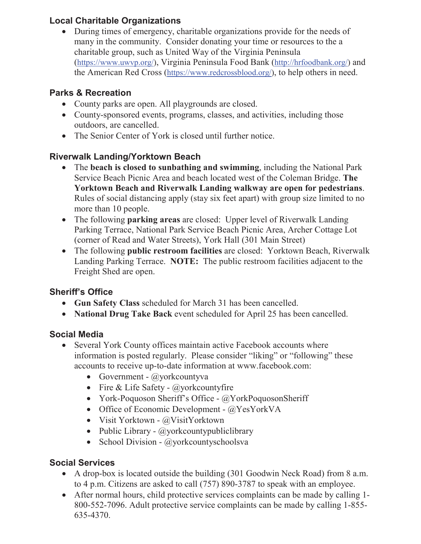#### **Local Charitable Organizations**

 many in the community. Consider donating your time or resources to the a • During times of emergency, charitable organizations provide for the needs of charitable group, such as United Way of the Virginia Peninsula [\(https://www.uwvp.org](https://www.uwvp.org)/), Virginia Peninsula Food Bank [\(http://hrfoodbank.org/](http://hrfoodbank.org)) and the American Red Cross [\(https://www.redcrossblood.org/](https://www.redcrossblood.org)), to help others in need.

### **Parks & Recreation**

- County parks are open. All playgrounds are closed.
- County-sponsored events, programs, classes, and activities, including those outdoors, are cancelled.
- The Senior Center of York is closed until further notice.

## **Riverwalk Landing/Yorktown Beach**

- The **beach is closed to sunbathing and swimming**, including the National Park Service Beach Picnic Area and beach located west of the Coleman Bridge. **The Yorktown Beach and Riverwalk Landing walkway are open for pedestrians**. Rules of social distancing apply (stay six feet apart) with group size limited to no more than 10 people.
- The following **parking areas** are closed: Upper level of Riverwalk Landing Parking Terrace, National Park Service Beach Picnic Area, Archer Cottage Lot (corner of Read and Water Streets), York Hall (301 Main Street)
- The following **public restroom facilities** are closed: Yorktown Beach, Riverwalk Landing Parking Terrace. **NOTE:** The public restroom facilities adjacent to the Freight Shed are open.

# **Sheriff's Office**

- x **Gun Safety Class** scheduled for March 31 has been cancelled.
- **National Drug Take Back** event scheduled for April 25 has been cancelled.

# **Social Media**

- Several York County offices maintain active Facebook accounts where information is posted regularly. Please consider "liking" or "following" these accounts to receive up-to-date information at [www.facebook.com:](www.facebook.com)
	- Government  $@y$ orkcountyva
	- Fire & Life Safety  $\omega$ yorkcountyfire
	- York-Poquoson Sheriff's Office  $@$ YorkPoquosonSheriff
	- Office of Economic Development  $@$ YesYorkVA
	- Visit Yorktown  $@VisitYorktown$
	- Public Library  $\omega$ yorkcountypubliclibrary
	- School Division  $@$ yorkcountyschoolsva

# **Social Services**

- A drop-box is located outside the building  $(301$  Goodwin Neck Road) from 8 a.m. to 4 p.m. Citizens are asked to call (757) 890-3787 to speak with an employee.
- After normal hours, child protective services complaints can be made by calling 1-800-552-7096. Adult protective service complaints can be made by calling 1-855- 635-4370.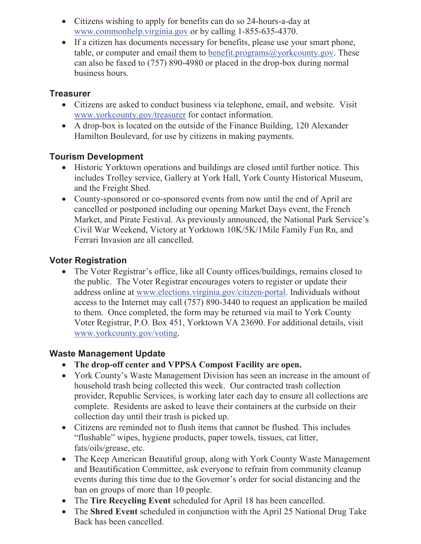- Citizens wishing to apply for benefits can do so 24-hours-a-day at <www.commonhelp.virginia.gov>or by calling 1-855-635-4370.
- If a citizen has documents necessary for benefits, please use your smart phone, table, or computer and email them to benefit.programs $@$ yorkcounty.gov. These can also be faxed to (757) 890-4980 or placed in the drop-box during normal business hours.

#### **Treasurer**

- Citizens are asked to conduct business via telephone, email, and website. Visit <www.yorkcounty.gov/treasurer> for contact information.
- $\bullet$  A drop-box is located on the outside of the Finance Building, 120 Alexander Hamilton Boulevard, for use by citizens in making payments.

#### **Tourism Development**

- Historic Yorktown operations and buildings are closed until further notice. This includes Trolley service, Gallery at York Hall, York County Historical Museum, and the Freight Shed.
- County-sponsored or co-sponsored events from now until the end of April are cancelled or postponed including our opening Market Days event, the French Market, and Pirate Festival. As previously announced, the National Park Service's Civil War Weekend, Victory at Yorktown 10K/5K/1Mile Family Fun Rn, and Ferrari Invasion are all cancelled.

#### **Voter Registration**

 access to the Internet may call (757) 890-3440 to request an application be mailed • The Voter Registrar's office, like all County offices/buildings, remains closed to the public. The Voter Registrar encourages voters to register or update their address online at<www.elections.virginia.gov/citizen-portal>. Individuals without to them. Once completed, the form may be returned via mail to York County Voter Registrar, P.O. Box 451, Yorktown VA 23690. For additional details, visit <www.yorkcounty.gov/voting>.

#### **Waste Management Update**

- **The drop-off center and VPPSA Compost Facility are open.**
- York County's Waste Management Division has seen an increase in the amount of household trash being collected this week. Our contracted trash collection provider, Republic Services, is working later each day to ensure all collections are complete. Residents are asked to leave their containers at the curbside on their collection day until their trash is picked up.
- Citizens are reminded not to flush items that cannot be flushed. This includes "flushable" wipes, hygiene products, paper towels, tissues, cat litter, fats/oils/grease, etc.
- The Keep American Beautiful group, along with York County Waste Management and Beautification Committee, ask everyone to refrain from community cleanup events during this time due to the Governor's order for social distancing and the ban on groups of more than 10 people.
- The **Tire Recycling Event** scheduled for April 18 has been cancelled.
- The **Shred Event** scheduled in conjunction with the April 25 National Drug Take Back has been cancelled.